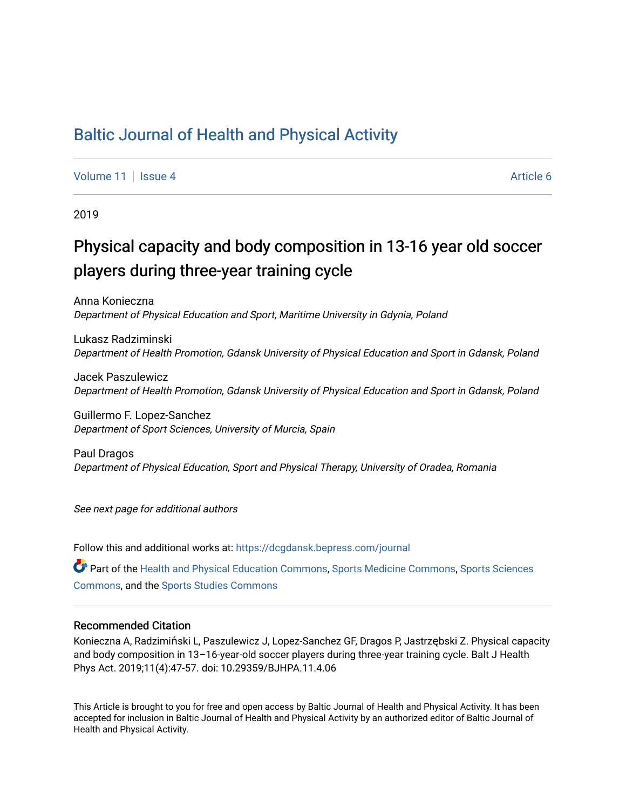# [Baltic Journal of Health and Physical Activity](https://dcgdansk.bepress.com/journal)

[Volume 11](https://dcgdansk.bepress.com/journal/vol11) | [Issue 4](https://dcgdansk.bepress.com/journal/vol11/iss4) Article 6

2019

# Physical capacity and body composition in 13-16 year old soccer players during three-year training cycle

Anna Konieczna Department of Physical Education and Sport, Maritime University in Gdynia, Poland

Lukasz Radziminski Department of Health Promotion, Gdansk University of Physical Education and Sport in Gdansk, Poland

Jacek Paszulewicz Department of Health Promotion, Gdansk University of Physical Education and Sport in Gdansk, Poland

Guillermo F. Lopez-Sanchez Department of Sport Sciences, University of Murcia, Spain

Paul Dragos Department of Physical Education, Sport and Physical Therapy, University of Oradea, Romania

See next page for additional authors

Follow this and additional works at: [https://dcgdansk.bepress.com/journal](https://dcgdansk.bepress.com/journal?utm_source=dcgdansk.bepress.com%2Fjournal%2Fvol11%2Fiss4%2F6&utm_medium=PDF&utm_campaign=PDFCoverPages)

Part of the [Health and Physical Education Commons](http://network.bepress.com/hgg/discipline/1327?utm_source=dcgdansk.bepress.com%2Fjournal%2Fvol11%2Fiss4%2F6&utm_medium=PDF&utm_campaign=PDFCoverPages), [Sports Medicine Commons,](http://network.bepress.com/hgg/discipline/1331?utm_source=dcgdansk.bepress.com%2Fjournal%2Fvol11%2Fiss4%2F6&utm_medium=PDF&utm_campaign=PDFCoverPages) [Sports Sciences](http://network.bepress.com/hgg/discipline/759?utm_source=dcgdansk.bepress.com%2Fjournal%2Fvol11%2Fiss4%2F6&utm_medium=PDF&utm_campaign=PDFCoverPages) [Commons](http://network.bepress.com/hgg/discipline/759?utm_source=dcgdansk.bepress.com%2Fjournal%2Fvol11%2Fiss4%2F6&utm_medium=PDF&utm_campaign=PDFCoverPages), and the [Sports Studies Commons](http://network.bepress.com/hgg/discipline/1198?utm_source=dcgdansk.bepress.com%2Fjournal%2Fvol11%2Fiss4%2F6&utm_medium=PDF&utm_campaign=PDFCoverPages) 

#### Recommended Citation

Konieczna A, Radzimiński L, Paszulewicz J, Lopez-Sanchez GF, Dragos P, Jastrzębski Z. Physical capacity and body composition in 13–16-year-old soccer players during three-year training cycle. Balt J Health Phys Act. 2019;11(4):47-57. doi: 10.29359/BJHPA.11.4.06

This Article is brought to you for free and open access by Baltic Journal of Health and Physical Activity. It has been accepted for inclusion in Baltic Journal of Health and Physical Activity by an authorized editor of Baltic Journal of Health and Physical Activity.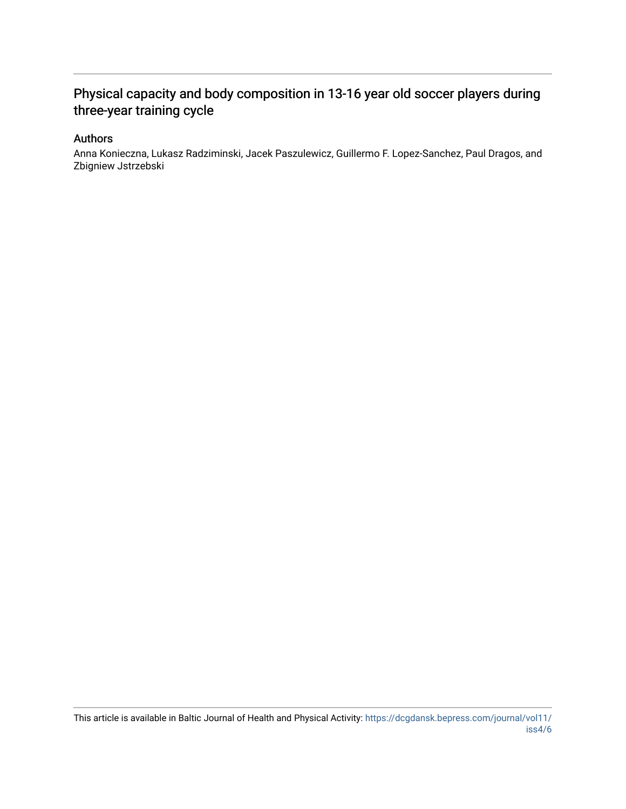# Physical capacity and body composition in 13-16 year old soccer players during three-year training cycle

#### Authors

Anna Konieczna, Lukasz Radziminski, Jacek Paszulewicz, Guillermo F. Lopez-Sanchez, Paul Dragos, and Zbigniew Jstrzebski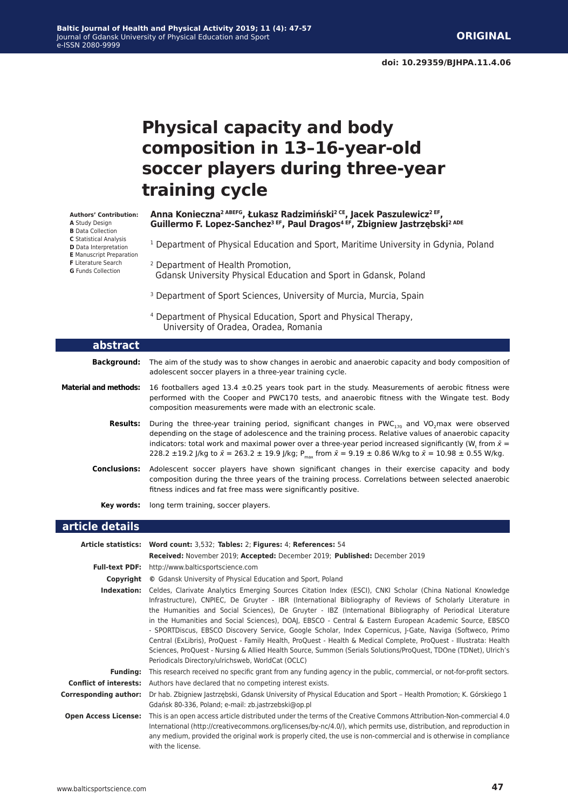# **Physical capacity and body composition in 13–16-year-old soccer players during three-year training cycle**

#### **Authors' Contribution:**

- **A** Study Design
- **B** Data Collection
- **C** Statistical Analysis
- **D** Data Interpretation
- **E** Manuscript Preparation **F** Literature Search
- **G** Funds Collection
- 

ſ

#### **Anna Konieczna2 ABEFG, Łukasz Radzimiński2 CE, Jacek Paszulewicz2 EF, Guillermo F. Lopez-Sanchez3 EF, Paul Dragos4 EF, Zbigniew Jastrzębski2 ADE**

- <sup>1</sup> Department of Physical Education and Sport, Maritime University in Gdynia, Poland
- 2 Department of Health Promotion, Gdansk University Physical Education and Sport in Gdansk, Poland
- <sup>3</sup> Department of Sport Sciences, University of Murcia, Murcia, Spain
- 4 Department of Physical Education, Sport and Physical Therapy, University of Oradea, Oradea, Romania

| abstract                     |                                                                                                                                                                                                                                                                                                                                                                                                                                                                                              |
|------------------------------|----------------------------------------------------------------------------------------------------------------------------------------------------------------------------------------------------------------------------------------------------------------------------------------------------------------------------------------------------------------------------------------------------------------------------------------------------------------------------------------------|
| <b>Background:</b>           | The aim of the study was to show changes in aerobic and anaerobic capacity and body composition of<br>adolescent soccer players in a three-year training cycle.                                                                                                                                                                                                                                                                                                                              |
| <b>Material and methods:</b> | 16 footballers aged 13.4 $\pm$ 0.25 years took part in the study. Measurements of aerobic fitness were<br>performed with the Cooper and PWC170 tests, and anaerobic fitness with the Wingate test. Body<br>composition measurements were made with an electronic scale.                                                                                                                                                                                                                      |
| <b>Results:</b>              | During the three-year training period, significant changes in PWC <sub>170</sub> and VO <sub>2</sub> max were observed<br>depending on the stage of adolescence and the training process. Relative values of anaerobic capacity<br>indicators: total work and maximal power over a three-year period increased significantly (W, from $\bar{x}$ =<br>228.2 ±19.2 J/kg to $\bar{x}$ = 263.2 ± 19.9 J/kg; P <sub>max</sub> from $\bar{x}$ = 9.19 ± 0.86 W/kg to $\bar{x}$ = 10.98 ± 0.55 W/kg. |
| <b>Conclusions:</b>          | Adolescent soccer players have shown significant changes in their exercise capacity and body<br>composition during the three years of the training process. Correlations between selected anaerobic<br>fitness indices and fat free mass were significantly positive.                                                                                                                                                                                                                        |
| Kev words:                   | long term training, soccer players.                                                                                                                                                                                                                                                                                                                                                                                                                                                          |

#### **article details**

|                              | Article statistics: Word count: 3,532; Tables: 2; Figures: 4; References: 54                                                                                                                                                                                                                                                                                                                                                                                                                                                                                                                                                                                                                                                                                                                                                                                  |  |  |  |  |  |  |  |  |
|------------------------------|---------------------------------------------------------------------------------------------------------------------------------------------------------------------------------------------------------------------------------------------------------------------------------------------------------------------------------------------------------------------------------------------------------------------------------------------------------------------------------------------------------------------------------------------------------------------------------------------------------------------------------------------------------------------------------------------------------------------------------------------------------------------------------------------------------------------------------------------------------------|--|--|--|--|--|--|--|--|
|                              | <b>Received:</b> November 2019; <b>Accepted:</b> December 2019; <b>Published:</b> December 2019                                                                                                                                                                                                                                                                                                                                                                                                                                                                                                                                                                                                                                                                                                                                                               |  |  |  |  |  |  |  |  |
|                              | <b>Full-text PDF:</b> http://www.balticsportscience.com                                                                                                                                                                                                                                                                                                                                                                                                                                                                                                                                                                                                                                                                                                                                                                                                       |  |  |  |  |  |  |  |  |
| Copyright                    | © Gdansk University of Physical Education and Sport, Poland                                                                                                                                                                                                                                                                                                                                                                                                                                                                                                                                                                                                                                                                                                                                                                                                   |  |  |  |  |  |  |  |  |
| Indexation:                  | Celdes, Clarivate Analytics Emerging Sources Citation Index (ESCI), CNKI Scholar (China National Knowledge<br>Infrastructure), CNPIEC, De Gruyter - IBR (International Bibliography of Reviews of Scholarly Literature in<br>the Humanities and Social Sciences), De Gruyter - IBZ (International Bibliography of Periodical Literature<br>in the Humanities and Social Sciences), DOAJ, EBSCO - Central & Eastern European Academic Source, EBSCO<br>- SPORTDiscus, EBSCO Discovery Service, Google Scholar, Index Copernicus, J-Gate, Naviga (Softweco, Primo<br>Central (ExLibris), ProQuest - Family Health, ProQuest - Health & Medical Complete, ProQuest - Illustrata: Health<br>Sciences, ProQuest - Nursing & Allied Health Source, Summon (Serials Solutions/ProQuest, TDOne (TDNet), Ulrich's<br>Periodicals Directory/ulrichsweb, WorldCat (OCLC) |  |  |  |  |  |  |  |  |
| <b>Funding:</b>              | This research received no specific grant from any funding agency in the public, commercial, or not-for-profit sectors.                                                                                                                                                                                                                                                                                                                                                                                                                                                                                                                                                                                                                                                                                                                                        |  |  |  |  |  |  |  |  |
|                              | <b>Conflict of interests:</b> Authors have declared that no competing interest exists.                                                                                                                                                                                                                                                                                                                                                                                                                                                                                                                                                                                                                                                                                                                                                                        |  |  |  |  |  |  |  |  |
| <b>Corresponding author:</b> | Dr hab. Zbigniew Jastrzebski, Gdansk University of Physical Education and Sport – Health Promotion; K. Górskiego 1<br>Gdańsk 80-336, Poland; e-mail: zb.jastrzebski@op.pl                                                                                                                                                                                                                                                                                                                                                                                                                                                                                                                                                                                                                                                                                     |  |  |  |  |  |  |  |  |
| <b>Open Access License:</b>  | This is an open access article distributed under the terms of the Creative Commons Attribution-Non-commercial 4.0<br>International (http://creativecommons.org/licenses/by-nc/4.0/), which permits use, distribution, and reproduction in<br>any medium, provided the original work is properly cited, the use is non-commercial and is otherwise in compliance<br>with the license.                                                                                                                                                                                                                                                                                                                                                                                                                                                                          |  |  |  |  |  |  |  |  |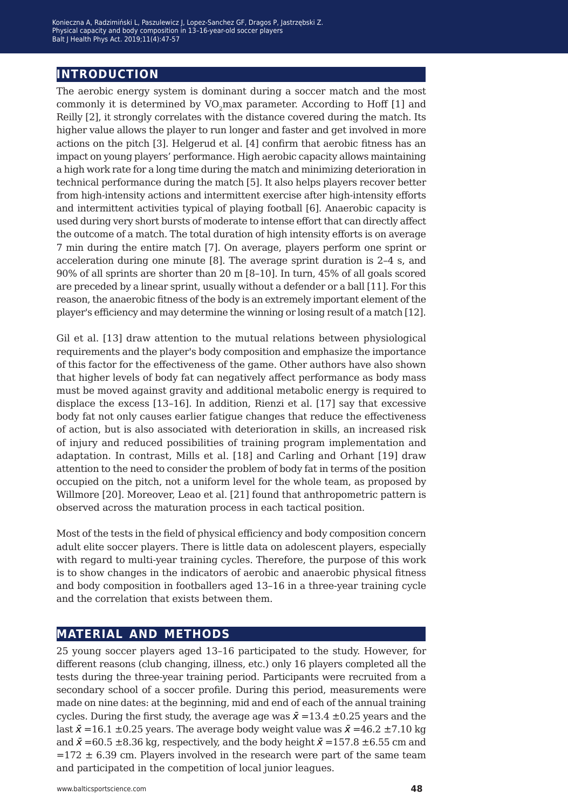## **introduction**

The aerobic energy system is dominant during a soccer match and the most commonly it is determined by VO<sub>2</sub>max parameter. According to Hoff [1] and Reilly [2], it strongly correlates with the distance covered during the match. Its higher value allows the player to run longer and faster and get involved in more actions on the pitch [3]. Helgerud et al. [4] confirm that aerobic fitness has an impact on young players' performance. High aerobic capacity allows maintaining a high work rate for a long time during the match and minimizing deterioration in technical performance during the match [5]. It also helps players recover better from high-intensity actions and intermittent exercise after high-intensity efforts and intermittent activities typical of playing football [6]. Anaerobic capacity is used during very short bursts of moderate to intense effort that can directly affect the outcome of a match. The total duration of high intensity efforts is on average 7 min during the entire match [7]. On average, players perform one sprint or acceleration during one minute [8]. The average sprint duration is 2–4 s, and 90% of all sprints are shorter than 20 m [8–10]. In turn, 45% of all goals scored are preceded by a linear sprint, usually without a defender or a ball [11]. For this reason, the anaerobic fitness of the body is an extremely important element of the player's efficiency and may determine the winning or losing result of a match [12].

Gil et al. [13] draw attention to the mutual relations between physiological requirements and the player's body composition and emphasize the importance of this factor for the effectiveness of the game. Other authors have also shown that higher levels of body fat can negatively affect performance as body mass must be moved against gravity and additional metabolic energy is required to displace the excess [13–16]. In addition, Rienzi et al. [17] say that excessive body fat not only causes earlier fatigue changes that reduce the effectiveness of action, but is also associated with deterioration in skills, an increased risk of injury and reduced possibilities of training program implementation and adaptation. In contrast, Mills et al. [18] and Carling and Orhant [19] draw attention to the need to consider the problem of body fat in terms of the position occupied on the pitch, not a uniform level for the whole team, as proposed by Willmore [20]. Moreover, Leao et al. [21] found that anthropometric pattern is observed across the maturation process in each tactical position.

Most of the tests in the field of physical efficiency and body composition concern adult elite soccer players. There is little data on adolescent players, especially with regard to multi-year training cycles. Therefore, the purpose of this work is to show changes in the indicators of aerobic and anaerobic physical fitness and body composition in footballers aged 13–16 in a three-year training cycle and the correlation that exists between them.

### **material and methods**

25 young soccer players aged 13–16 participated to the study. However, for different reasons (club changing, illness, etc.) only 16 players completed all the tests during the three-year training period. Participants were recruited from a secondary school of a soccer profile. During this period, measurements were made on nine dates: at the beginning, mid and end of each of the annual training cycles. During the first study, the average age was  $\bar{x}$  =13.4  $\pm$ 0.25 years and the last  $\bar{x}$  =16.1 ±0.25 years. The average body weight value was  $\bar{x}$  =46.2 ±7.10 kg and  $\bar{x}$  =60.5 ±8.36 kg, respectively, and the body height  $\bar{x}$  =157.8 ±6.55 cm and  $=172 \pm 6.39$  cm. Players involved in the research were part of the same team and participated in the competition of local junior leagues.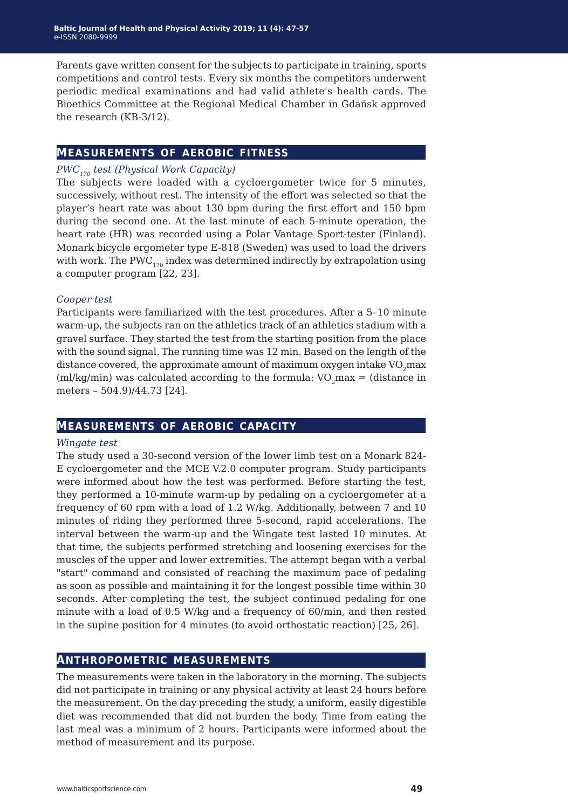Parents gave written consent for the subjects to participate in training, sports competitions and control tests. Every six months the competitors underwent periodic medical examinations and had valid athlete's health cards. The Bioethics Committee at the Regional Medical Chamber in Gdańsk approved the research (KB-3/12).

### **measurements of aerobic fitness**

#### *PWC170 test (Physical Work Capacity)*

The subjects were loaded with a cycloergometer twice for 5 minutes, successively, without rest. The intensity of the effort was selected so that the player's heart rate was about 130 bpm during the first effort and 150 bpm during the second one. At the last minute of each 5-minute operation, the heart rate (HR) was recorded using a Polar Vantage Sport-tester (Finland). Monark bicycle ergometer type E-818 (Sweden) was used to load the drivers with work. The PWC $_{170}$  index was determined indirectly by extrapolation using a computer program [22, 23].

#### *Cooper test*

Participants were familiarized with the test procedures. After a 5–10 minute warm-up, the subjects ran on the athletics track of an athletics stadium with a gravel surface. They started the test from the starting position from the place with the sound signal. The running time was 12 min. Based on the length of the distance covered, the approximate amount of maximum oxygen intake VO<sub>2</sub>max (ml/kg/min) was calculated according to the formula:  $VO_2$ max = (distance in meters – 504.9)/44.73 [24].

### **measurements of aerobic capacity**

#### *Wingate test*

The study used a 30-second version of the lower limb test on a Monark 824- E cycloergometer and the MCE V.2.0 computer program. Study participants were informed about how the test was performed. Before starting the test, they performed a 10-minute warm-up by pedaling on a cycloergometer at a frequency of 60 rpm with a load of 1.2 W/kg. Additionally, between 7 and 10 minutes of riding they performed three 5-second, rapid accelerations. The interval between the warm-up and the Wingate test lasted 10 minutes. At that time, the subjects performed stretching and loosening exercises for the muscles of the upper and lower extremities. The attempt began with a verbal "start" command and consisted of reaching the maximum pace of pedaling as soon as possible and maintaining it for the longest possible time within 30 seconds. After completing the test, the subject continued pedaling for one minute with a load of 0.5 W/kg and a frequency of 60/min, and then rested in the supine position for 4 minutes (to avoid orthostatic reaction) [25, 26].

### **anthropometric measurements**

The measurements were taken in the laboratory in the morning. The subjects did not participate in training or any physical activity at least 24 hours before the measurement. On the day preceding the study, a uniform, easily digestible diet was recommended that did not burden the body. Time from eating the last meal was a minimum of 2 hours. Participants were informed about the method of measurement and its purpose.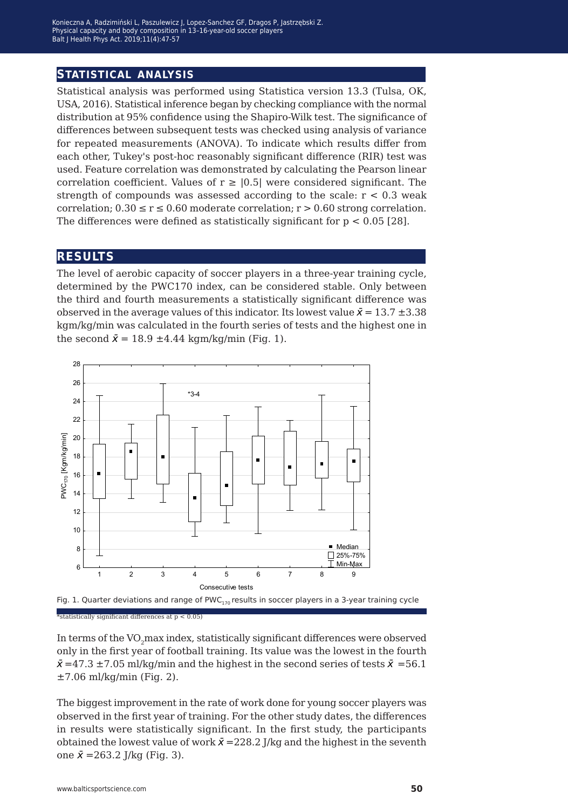### **statistical analysis**

Statistical analysis was performed using Statistica version 13.3 (Tulsa, OK, USA, 2016). Statistical inference began by checking compliance with the normal distribution at 95% confidence using the Shapiro-Wilk test. The significance of differences between subsequent tests was checked using analysis of variance for repeated measurements (ANOVA). To indicate which results differ from each other, Tukey's post-hoc reasonably significant difference (RIR) test was used. Feature correlation was demonstrated by calculating the Pearson linear correlation coefficient. Values of  $r \geq 0.5$  were considered significant. The strength of compounds was assessed according to the scale:  $r < 0.3$  weak correlation;  $0.30 \le r \le 0.60$  moderate correlation;  $r > 0.60$  strong correlation. The differences were defined as statistically significant for  $p < 0.05$  [28].

#### **results**

The level of aerobic capacity of soccer players in a three-year training cycle, determined by the PWC170 index, can be considered stable. Only between the third and fourth measurements a statistically significant difference was observed in the average values of this indicator. Its lowest value  $\bar{x} = 13.7 \pm 3.38$ kgm/kg/min was calculated in the fourth series of tests and the highest one in the second  $\bar{x} = 18.9 \pm 4.44$  kgm/kg/min (Fig. 1).





In terms of the VO<sub>2</sub>max index, statistically significant differences were observed only in the first year of football training. Its value was the lowest in the fourth  $\bar{x}$  =47.3 ±7.05 ml/kg/min and the highest in the second series of tests  $\bar{x}$  =56.1  $\pm$ 7.06 ml/kg/min (Fig. 2).

The biggest improvement in the rate of work done for young soccer players was observed in the first year of training. For the other study dates, the differences in results were statistically significant. In the first study, the participants obtained the lowest value of work  $\bar{x} = 228.2$  J/kg and the highest in the seventh one  $\bar{x} = 263.2 \text{ J/kg (Fig. 3)}.$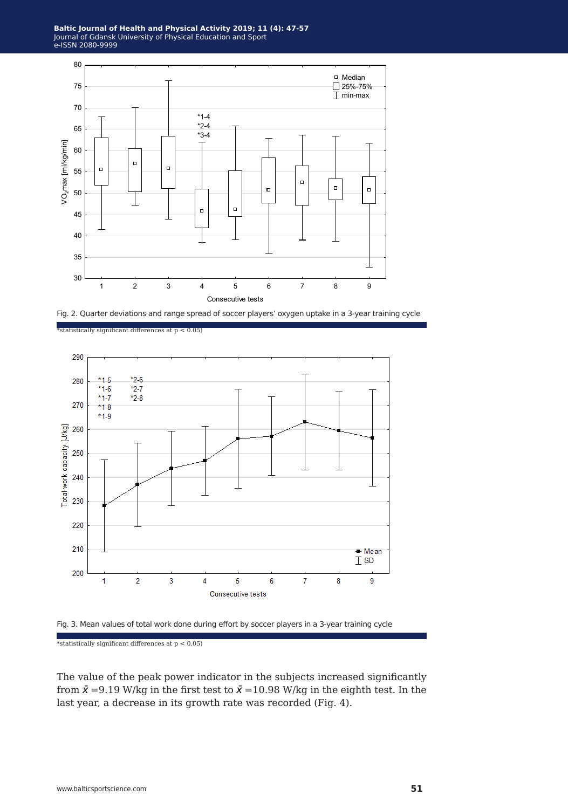





\*statistically significant differences at p < 0.05)



 $^\ast$ statistically significant differences at p < 0.05)

The value of the peak power indicator in the subjects increased significantly from  $\bar{x}$  =9.19 W/kg in the first test to  $\bar{x}$  =10.98 W/kg in the eighth test. In the last year, a decrease in its growth rate was recorded (Fig. 4).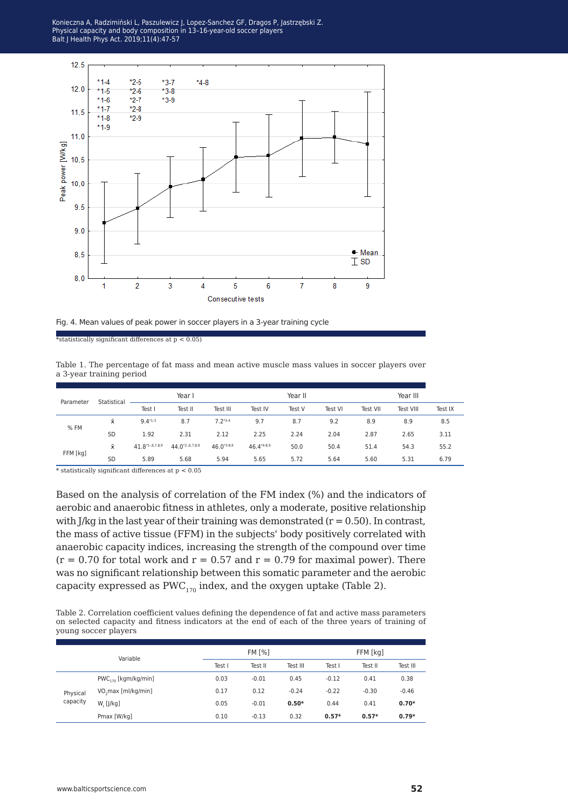Konieczna A, Radzimiński L, Paszulewicz J, Lopez-Sanchez GF, Dragos P, Jastrzębski Z.<br>Physical canacity and hody composition in 13-16-year-old soccer players  $\frac{1}{2}$ l Health Phys Act. 2019:11(4):47-57 Balt J Health Phys Act. 2019;11(4):47-57 Physical capacity and body composition in 13–16-year-old soccer players



Fig. 4. Mean values of peak power in soccer players in a 3-year training cycle

\*statistically significant differences at  $p < 0.05$ )

Table 1. The percentage of fat mass and mean active muscle mass values in soccer players over a 3-year training period

| Parameter | Statistical | Year I         |                      |                 | Year II         |        |         | Year III |           |         |
|-----------|-------------|----------------|----------------------|-----------------|-----------------|--------|---------|----------|-----------|---------|
|           |             | Test I         | Test II              | Test III        | Test IV         | Test V | Test VI | Test VII | Test VIII | Test IX |
| % FM      | Χ           | $9.4*1-3$      | 8.7                  | $7.2*3.4$       | 9.7             | 8.7    | 9.2     | 8.9      | 8.9       | 8.5     |
|           | <b>SD</b>   | 1.92           | 2.31                 | 2.12            | 2.25            | 2.24   | 2.04    | 2.87     | 2.65      | 3.11    |
| FFM [kg]  | Ÿ.          | $41.8*1.67889$ | $44.0^{*2-.6,7,8,9}$ | $46.0^{*3.8.9}$ | $46.4^{*4-8.9}$ | 50.0   | 50.4    | 51.4     | 54.3      | 55.2    |
|           | <b>SD</b>   | 5.89           | 5.68                 | 5.94            | 5.65            | 5.72   | 5.64    | 5.60     | 5.31      | 6.79    |
|           |             |                |                      |                 |                 |        |         |          |           |         |

 $^{\ast}$  statistically significant differences at p  $<$  0.05

Based on the analysis of correlation of the FM index (%) and the indicators of aerobic and anaerobic fitness in athletes, only a moderate, positive relationship with J/kg in the last year of their training was demonstrated  $(r = 0.50)$ . In contrast, the mass of active tissue (FFM) in the subjects' body positively correlated with anaerobic capacity indices, increasing the strength of the compound over time  $(r = 0.70$  for total work and  $r = 0.57$  and  $r = 0.79$  for maximal power). There was no significant relationship between this somatic parameter and the aerobic capacity expressed as  $PWC_{170}$  index, and the oxygen uptake (Table 2).

Table 2. Correlation coefficient values defining the dependence of fat and active mass parameters on selected capacity and fitness indicators at the end of each of the three years of training of young soccer players

| Variable             |                          |        | <b>FM [%]</b> |          | FFM [kg] |         |          |
|----------------------|--------------------------|--------|---------------|----------|----------|---------|----------|
|                      |                          | Test I | Test II       | Test III | Test I   | Test II | Test III |
| Physical<br>capacity | $PWC_{170}$ [kgm/kg/min] | 0.03   | $-0.01$       | 0.45     | $-0.12$  | 0.41    | 0.38     |
|                      | VO, max [ml/kg/min]      | 0.17   | 0.12          | $-0.24$  | $-0.22$  | $-0.30$ | $-0.46$  |
|                      | $W_{r}$ [J/kg]           | 0.05   | $-0.01$       | $0.50*$  | 0.44     | 0.41    | $0.70*$  |
|                      | Pmax [W/kg]              | 0.10   | $-0.13$       | 0.32     | $0.57*$  | $0.57*$ | $0.79*$  |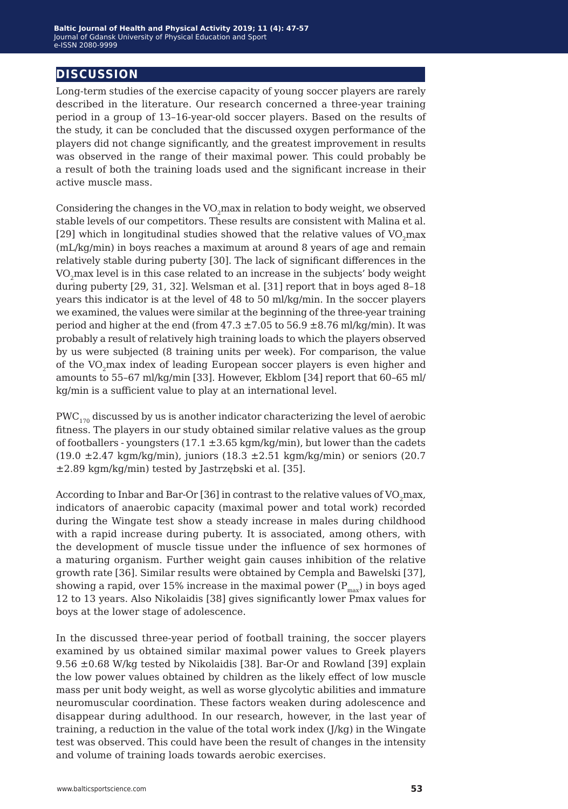## **discussion**

Long-term studies of the exercise capacity of young soccer players are rarely described in the literature. Our research concerned a three-year training period in a group of 13–16-year-old soccer players. Based on the results of the study, it can be concluded that the discussed oxygen performance of the players did not change significantly, and the greatest improvement in results was observed in the range of their maximal power. This could probably be a result of both the training loads used and the significant increase in their active muscle mass.

Considering the changes in the VO<sub>2</sub>max in relation to body weight, we observed stable levels of our competitors. These results are consistent with Malina et al.  $[29]$  which in longitudinal studies showed that the relative values of VO<sub>2</sub>max (mL/kg/min) in boys reaches a maximum at around 8 years of age and remain relatively stable during puberty [30]. The lack of significant differences in the VO<sub>2</sub>max level is in this case related to an increase in the subjects' body weight during puberty [29, 31, 32]. Welsman et al. [31] report that in boys aged 8–18 years this indicator is at the level of 48 to 50 ml/kg/min. In the soccer players we examined, the values were similar at the beginning of the three-year training period and higher at the end (from  $47.3 \pm 7.05$  to  $56.9 \pm 8.76$  ml/kg/min). It was probably a result of relatively high training loads to which the players observed by us were subjected (8 training units per week). For comparison, the value of the VO<sub>2</sub>max index of leading European soccer players is even higher and amounts to 55–67 ml/kg/min [33]. However, Ekblom [34] report that 60–65 ml/ kg/min is a sufficient value to play at an international level.

 $PWC_{170}$  discussed by us is another indicator characterizing the level of aerobic fitness. The players in our study obtained similar relative values as the group of footballers - youngsters (17.1  $\pm$ 3.65 kgm/kg/min), but lower than the cadets (19.0 ±2.47 kgm/kg/min), juniors (18.3 ±2.51 kgm/kg/min) or seniors (20.7 ±2.89 kgm/kg/min) tested by Jastrzębski et al. [35].

According to Inbar and Bar-Or [36] in contrast to the relative values of VO<sub>2</sub>max, indicators of anaerobic capacity (maximal power and total work) recorded during the Wingate test show a steady increase in males during childhood with a rapid increase during puberty. It is associated, among others, with the development of muscle tissue under the influence of sex hormones of a maturing organism. Further weight gain causes inhibition of the relative growth rate [36]. Similar results were obtained by Cempla and Bawelski [37], showing a rapid, over 15% increase in the maximal power  $(P_{max})$  in boys aged 12 to 13 years. Also Nikolaidis [38] gives significantly lower Pmax values for boys at the lower stage of adolescence.

In the discussed three-year period of football training, the soccer players examined by us obtained similar maximal power values to Greek players 9.56 ±0.68 W/kg tested by Nikolaidis [38]. Bar-Or and Rowland [39] explain the low power values obtained by children as the likely effect of low muscle mass per unit body weight, as well as worse glycolytic abilities and immature neuromuscular coordination. These factors weaken during adolescence and disappear during adulthood. In our research, however, in the last year of training, a reduction in the value of the total work index (J/kg) in the Wingate test was observed. This could have been the result of changes in the intensity and volume of training loads towards aerobic exercises.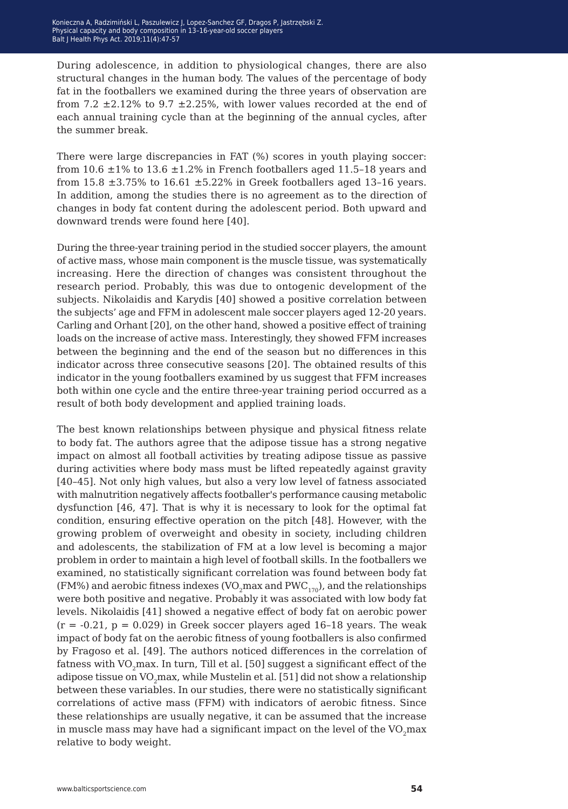During adolescence, in addition to physiological changes, there are also structural changes in the human body. The values of the percentage of body fat in the footballers we examined during the three years of observation are from 7.2  $\pm$ 2.12% to 9.7  $\pm$ 2.25%, with lower values recorded at the end of each annual training cycle than at the beginning of the annual cycles, after the summer break.

There were large discrepancies in FAT (%) scores in youth playing soccer: from 10.6  $\pm$ 1% to 13.6  $\pm$ 1.2% in French footballers aged 11.5–18 years and from 15.8  $\pm$ 3.75% to 16.61  $\pm$ 5.22% in Greek footballers aged 13-16 years. In addition, among the studies there is no agreement as to the direction of changes in body fat content during the adolescent period. Both upward and downward trends were found here [40].

During the three-year training period in the studied soccer players, the amount of active mass, whose main component is the muscle tissue, was systematically increasing. Here the direction of changes was consistent throughout the research period. Probably, this was due to ontogenic development of the subjects. Nikolaidis and Karydis [40] showed a positive correlation between the subjects' age and FFM in adolescent male soccer players aged 12-20 years. Carling and Orhant [20], on the other hand, showed a positive effect of training loads on the increase of active mass. Interestingly, they showed FFM increases between the beginning and the end of the season but no differences in this indicator across three consecutive seasons [20]. The obtained results of this indicator in the young footballers examined by us suggest that FFM increases both within one cycle and the entire three-year training period occurred as a result of both body development and applied training loads.

The best known relationships between physique and physical fitness relate to body fat. The authors agree that the adipose tissue has a strong negative impact on almost all football activities by treating adipose tissue as passive during activities where body mass must be lifted repeatedly against gravity [40–45]. Not only high values, but also a very low level of fatness associated with malnutrition negatively affects footballer's performance causing metabolic dysfunction [46, 47]. That is why it is necessary to look for the optimal fat condition, ensuring effective operation on the pitch [48]. However, with the growing problem of overweight and obesity in society, including children and adolescents, the stabilization of FM at a low level is becoming a major problem in order to maintain a high level of football skills. In the footballers we examined, no statistically significant correlation was found between body fat (FM%) and aerobic fitness indexes (VO<sub>2</sub>max and PWC<sub>170</sub>), and the relationships were both positive and negative. Probably it was associated with low body fat levels. Nikolaidis [41] showed a negative effect of body fat on aerobic power  $(r = -0.21, p = 0.029)$  in Greek soccer players aged 16-18 years. The weak impact of body fat on the aerobic fitness of young footballers is also confirmed by Fragoso et al. [49]. The authors noticed differences in the correlation of fatness with VO<sub>2</sub>max. In turn, Till et al. [50] suggest a significant effect of the adipose tissue on  $VO_2$ max, while Mustelin et al. [51] did not show a relationship between these variables. In our studies, there were no statistically significant correlations of active mass (FFM) with indicators of aerobic fitness. Since these relationships are usually negative, it can be assumed that the increase in muscle mass may have had a significant impact on the level of the  $VO_2$ max relative to body weight.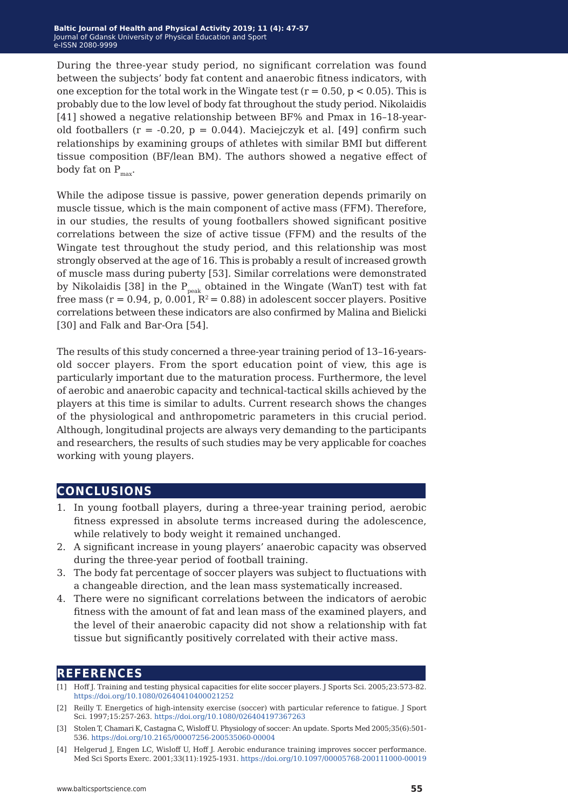During the three-year study period, no significant correlation was found between the subjects' body fat content and anaerobic fitness indicators, with one exception for the total work in the Wingate test ( $r = 0.50$ ,  $p < 0.05$ ). This is probably due to the low level of body fat throughout the study period. Nikolaidis [41] showed a negative relationship between BF% and Pmax in 16–18-yearold footballers ( $r = -0.20$ ,  $p = 0.044$ ). Maciejczyk et al. [49] confirm such relationships by examining groups of athletes with similar BMI but different tissue composition (BF/lean BM). The authors showed a negative effect of body fat on  $P_{\text{max}}$ .

While the adipose tissue is passive, power generation depends primarily on muscle tissue, which is the main component of active mass (FFM). Therefore, in our studies, the results of young footballers showed significant positive correlations between the size of active tissue (FFM) and the results of the Wingate test throughout the study period, and this relationship was most strongly observed at the age of 16. This is probably a result of increased growth of muscle mass during puberty [53]. Similar correlations were demonstrated by Nikolaidis [38] in the  $P_{peak}$  obtained in the Wingate (WanT) test with fat free mass ( $r = 0.94$ , p, 0.001,  $R^2 = 0.88$ ) in adolescent soccer players. Positive correlations between these indicators are also confirmed by Malina and Bielicki [30] and Falk and Bar-Ora [54].

The results of this study concerned a three-year training period of 13–16-yearsold soccer players. From the sport education point of view, this age is particularly important due to the maturation process. Furthermore, the level of aerobic and anaerobic capacity and technical-tactical skills achieved by the players at this time is similar to adults. Current research shows the changes of the physiological and anthropometric parameters in this crucial period. Although, longitudinal projects are always very demanding to the participants and researchers, the results of such studies may be very applicable for coaches working with young players.

### **conclusions**

- 1. In young football players, during a three-year training period, aerobic fitness expressed in absolute terms increased during the adolescence, while relatively to body weight it remained unchanged.
- 2. A significant increase in young players' anaerobic capacity was observed during the three-year period of football training.
- 3. The body fat percentage of soccer players was subject to fluctuations with a changeable direction, and the lean mass systematically increased.
- 4. There were no significant correlations between the indicators of aerobic fitness with the amount of fat and lean mass of the examined players, and the level of their anaerobic capacity did not show a relationship with fat tissue but significantly positively correlated with their active mass.

### **references**

- [1] Hoff J. Training and testing physical capacities for elite soccer players. J Sports Sci. 2005;23:573-82. <https://doi.org/10.1080/02640410400021252>
- [2] Reilly T. Energetics of high-intensity exercise (soccer) with particular reference to fatigue. J Sport Sci. 1997;15:257-263.<https://doi.org/10.1080/026404197367263>
- [3] Stolen T, Chamari K, Castagna C, Wisloff U. Physiology of soccer: An update. Sports Med 2005;35(6):501- 536.<https://doi.org/10.2165/00007256-200535060-00004>
- [4] Helgerud J, Engen LC, Wisloff U, Hoff J. Aerobic endurance training improves soccer performance. Med Sci Sports Exerc. 2001;33(11):1925-1931.<https://doi.org/10.1097/00005768-200111000-00019>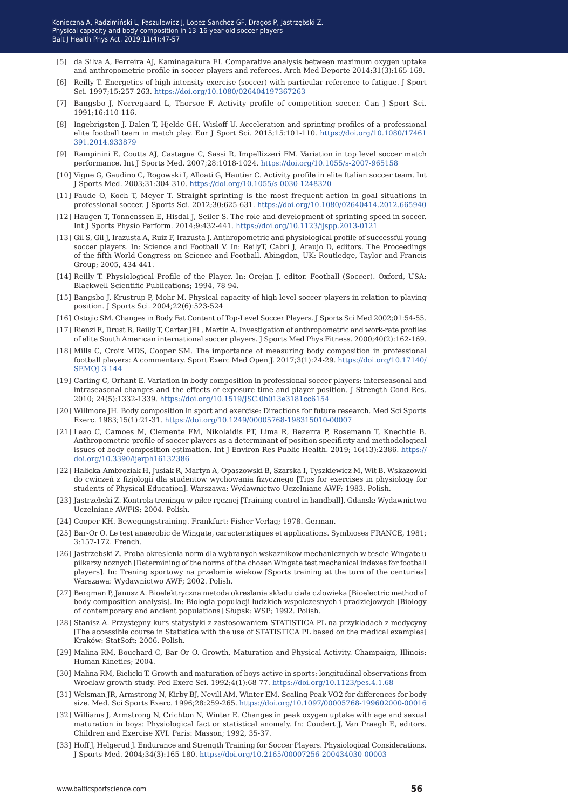- [5] da Silva A, Ferreira AJ, Kaminagakura EI. Comparative analysis between maximum oxygen uptake and anthropometric profile in soccer players and referees. Arch Med Deporte 2014;31(3):165-169.
- [6] Reilly T. Energetics of high-intensity exercise (soccer) with particular reference to fatigue. J Sport Sci. 1997;15:257-263.<https://doi.org/10.1080/026404197367263>
- [7] Bangsbo J, Norregaard L, Thorsoe F. Activity profile of competition soccer. Can J Sport Sci. 1991;16:110-116.
- [8] Ingebrigsten J, Dalen T, Hjelde GH, Wisloff U. Acceleration and sprinting profiles of a professional elite football team in match play. Eur J Sport Sci. 2015;15:101-110. [https://doi.org/10.1080/17461](https://doi.org/10.1080/17461391.2014.933879) [391.2014.933879](https://doi.org/10.1080/17461391.2014.933879)
- [9] Rampinini E, Coutts AJ, Castagna C, Sassi R, Impellizzeri FM. Variation in top level soccer match performance. Int J Sports Med. 2007;28:1018-1024. <https://doi.org/10.1055/s-2007-965158>
- [10] Vigne G, Gaudino C, Rogowski I, Alloati G, Hautier C. Activity profile in elite Italian soccer team. Int J Sports Med. 2003;31:304-310.<https://doi.org/10.1055/s-0030-1248320>
- [11] Faude O, Koch T, Meyer T. Straight sprinting is the most frequent action in goal situations in professional soccer. J Sports Sci. 2012;30:625-631. <https://doi.org/10.1080/02640414.2012.665940>
- [12] Haugen T, Tonnenssen E, Hisdal J, Seiler S. The role and development of sprinting speed in soccer. Int J Sports Physio Perform. 2014;9:432-441. <https://doi.org/10.1123/ijspp.2013-0121>
- [13] Gil S, Gil J, Irazusta A, Ruiz F, Irazusta J. Anthropometric and physiological profile of successful young soccer players. In: Science and Football V. In: ReilyT, Cabri J, Araujo D, editors. The Proceedings of the fifth World Congress on Science and Football. Abingdon, UK: Routledge, Taylor and Francis Group; 2005, 434-441.
- [14] Reilly T. Physiological Profile of the Player. In: Orejan J, editor. Football (Soccer). Oxford, USA: Blackwell Scientific Publications; 1994, 78-94.
- [15] Bangsbo J, Krustrup P, Mohr M. Physical capacity of high-level soccer players in relation to playing position. J Sports Sci. 2004;22(6):523-524
- [16] Ostojic SM. Changes in Body Fat Content of Top-Level Soccer Players. J Sports Sci Med 2002;01:54-55.
- [17] Rienzi E, Drust B, Reilly T, Carter JEL, Martin A. Investigation of anthropometric and work-rate profiles of elite South American international soccer players. J Sports Med Phys Fitness. 2000;40(2):162-169.
- [18] Mills C, Croix MDS, Cooper SM. The importance of measuring body composition in professional football players: A commentary. Sport Exerc Med Open J. 2017;3(1):24-29. [https://doi.org/10.17140/](https://doi.org/10.17140/SEMOJ-3-144
) [SEMOJ-3-144](https://doi.org/10.17140/SEMOJ-3-144
)
- [19] Carling C, Orhant E. Variation in body composition in professional soccer players: interseasonal and intraseasonal changes and the effects of exposure time and player position. J Strength Cond Res. 2010; 24(5):1332-1339. <https://doi.org/10.1519/JSC.0b013e3181cc6154>
- [20] Willmore JH. Body composition in sport and exercise: Directions for future research. Med Sci Sports Exerc. 1983;15(1):21-31. <https://doi.org/10.1249/00005768-198315010-00007>
- [21] Leao C, Camoes M, Clemente FM, Nikolaidis PT, Lima R, Bezerra P, Rosemann T, Knechtle B. Anthropometric profile of soccer players as a determinant of position specificity and methodological issues of body composition estimation. Int J Environ Res Public Health. 2019; 16(13):2386. [https://](https://doi.org/10.3390/ijerph16132386
) [doi.org/10.3390/ijerph16132386](https://doi.org/10.3390/ijerph16132386
)
- [22] Halicka-Ambroziak H, Jusiak R, Martyn A, Opaszowski B, Szarska I, Tyszkiewicz M, Wit B. Wskazowki do cwiczeń z fizjologii dla studentow wychowania fizycznego [Tips for exercises in physiology for students of Physical Education]. Warszawa: Wydawnictwo Uczelniane AWF; 1983. Polish.
- [23] Jastrzebski Z. Kontrola treningu w piłce ręcznej [Training control in handball]. Gdansk: Wydawnictwo Uczelniane AWFiS; 2004. Polish.
- [24] Cooper KH. Bewegungstraining. Frankfurt: Fisher Verlag; 1978. German.
- [25] Bar-Or O. Le test anaerobic de Wingate, caracteristiques et applications. Symbioses FRANCE, 1981; 3:157-172. French.
- [26] Jastrzebski Z. Proba okreslenia norm dla wybranych wskaznikow mechanicznych w tescie Wingate u pilkarzy noznych [Determining of the norms of the chosen Wingate test mechanical indexes for football players]. In: Trening sportowy na przelomie wiekow [Sports training at the turn of the centuries] Warszawa: Wydawnictwo AWF; 2002. Polish.
- [27] Bergman P, Janusz A. Bioelektryczna metoda okreslania składu ciała czlowieka [Bioelectric method of body composition analysis]. In: Biologia populacji ludzkich wspolczesnych i pradziejowych [Biology of contemporary and ancient populations] Słupsk: WSP; 1992. Polish.
- [28] Stanisz A. Przystępny kurs statystyki z zastosowaniem STATISTICA PL na przykladach z medycyny [The accessible course in Statistica with the use of STATISTICA PL based on the medical examples] Kraków: StatSoft; 2006. Polish.
- [29] Malina RM, Bouchard C, Bar-Or O. Growth, Maturation and Physical Activity. Champaign, Illinois: Human Kinetics; 2004.
- [30] Malina RM, Bielicki T. Growth and maturation of boys active in sports: longitudinal observations from Wroclaw growth study. Ped Exerc Sci. 1992;4(1):68-77.<https://doi.org/10.1123/pes.4.1.68>
- [31] Welsman JR, Armstrong N, Kirby BJ, Nevill AM, Winter EM. Scaling Peak VO2 for differences for body size. Med. Sci Sports Exerc. 1996;28:259-265. [https://doi.org/10.1097/00005768-199602000-00016](https://doi.org/10.1123/pes.4.1.68)
- [32] Williams J, Armstrong N, Crichton N, Winter E. Changes in peak oxygen uptake with age and sexual maturation in boys: Physiological fact or statistical anomaly. In: Coudert J, Van Praagh E, editors. Children and Exercise XVI. Paris: Masson; 1992, 35-37.
- [33] Hoff J, Helgerud J. Endurance and Strength Training for Soccer Players. Physiological Considerations. J Sports Med. 2004;34(3):165-180. [https://doi.org/10.2165/00007256-200434030-00003](https://doi.org/10.1123/pes.4.1.68)